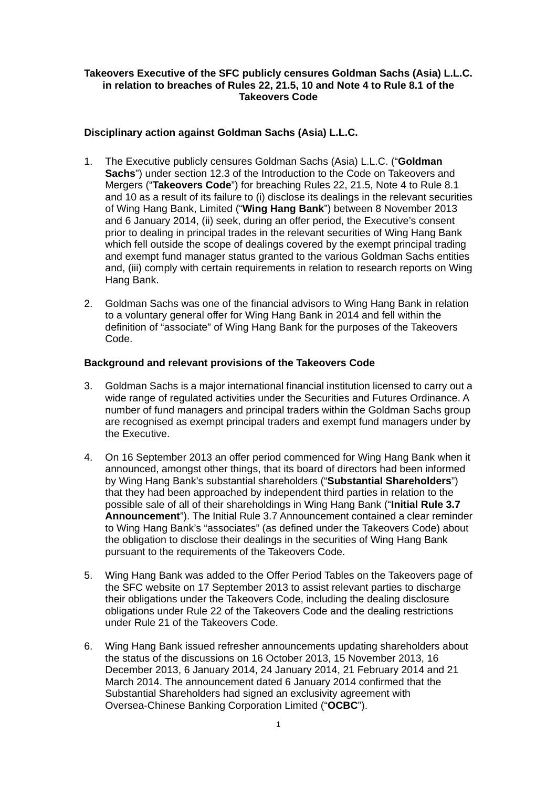# **Takeovers Executive of the SFC publicly censures Goldman Sachs (Asia) L.L.C. in relation to breaches of Rules 22, 21.5, 10 and Note 4 to Rule 8.1 of the Takeovers Code**

# **Disciplinary action against Goldman Sachs (Asia) L.L.C.**

- 1. The Executive publicly censures Goldman Sachs (Asia) L.L.C. ("**Goldman Sachs**") under section 12.3 of the Introduction to the Code on Takeovers and Mergers ("**Takeovers Code**") for breaching Rules 22, 21.5, Note 4 to Rule 8.1 and 10 as a result of its failure to (i) disclose its dealings in the relevant securities of Wing Hang Bank, Limited ("**Wing Hang Bank**") between 8 November 2013 and 6 January 2014, (ii) seek, during an offer period, the Executive's consent prior to dealing in principal trades in the relevant securities of Wing Hang Bank which fell outside the scope of dealings covered by the exempt principal trading and exempt fund manager status granted to the various Goldman Sachs entities and, (iii) comply with certain requirements in relation to research reports on Wing Hang Bank.
- 2. Goldman Sachs was one of the financial advisors to Wing Hang Bank in relation to a voluntary general offer for Wing Hang Bank in 2014 and fell within the definition of "associate" of Wing Hang Bank for the purposes of the Takeovers Code.

## **Background and relevant provisions of the Takeovers Code**

- 3. Goldman Sachs is a major international financial institution licensed to carry out a wide range of regulated activities under the Securities and Futures Ordinance. A number of fund managers and principal traders within the Goldman Sachs group are recognised as exempt principal traders and exempt fund managers under by the Executive.
- 4. On 16 September 2013 an offer period commenced for Wing Hang Bank when it announced, amongst other things, that its board of directors had been informed by Wing Hang Bank's substantial shareholders ("**Substantial Shareholders**") that they had been approached by independent third parties in relation to the possible sale of all of their shareholdings in Wing Hang Bank ("**Initial Rule 3.7 Announcement**"). The Initial Rule 3.7 Announcement contained a clear reminder to Wing Hang Bank's "associates" (as defined under the Takeovers Code) about the obligation to disclose their dealings in the securities of Wing Hang Bank pursuant to the requirements of the Takeovers Code.
- 5. Wing Hang Bank was added to the Offer Period Tables on the Takeovers page of the SFC website on 17 September 2013 to assist relevant parties to discharge their obligations under the Takeovers Code, including the dealing disclosure obligations under Rule 22 of the Takeovers Code and the dealing restrictions under Rule 21 of the Takeovers Code.
- 6. Wing Hang Bank issued refresher announcements updating shareholders about the status of the discussions on 16 October 2013, 15 November 2013, 16 December 2013, 6 January 2014, 24 January 2014, 21 February 2014 and 21 March 2014. The announcement dated 6 January 2014 confirmed that the Substantial Shareholders had signed an exclusivity agreement with Oversea-Chinese Banking Corporation Limited ("**OCBC**").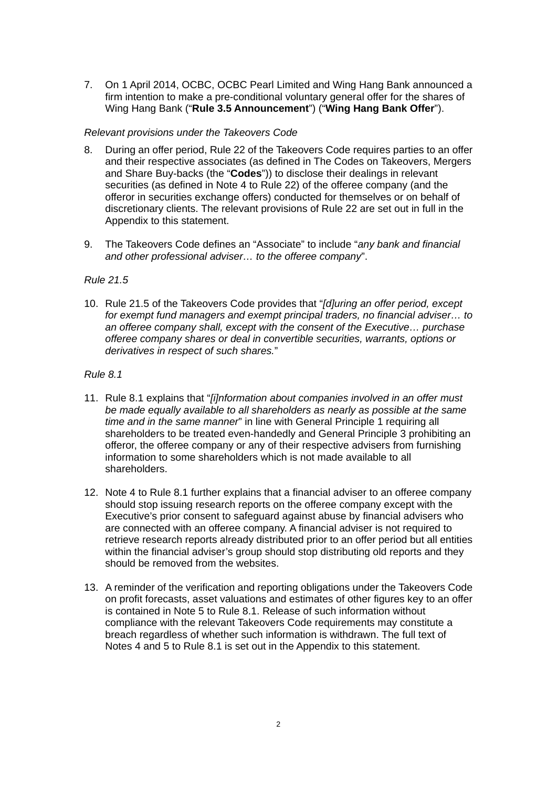7. On 1 April 2014, OCBC, OCBC Pearl Limited and Wing Hang Bank announced a firm intention to make a pre-conditional voluntary general offer for the shares of Wing Hang Bank ("**Rule 3.5 Announcement**") ("**Wing Hang Bank Offer**").

## *Relevant provisions under the Takeovers Code*

- 8. During an offer period, Rule 22 of the Takeovers Code requires parties to an offer and their respective associates (as defined in The Codes on Takeovers, Mergers and Share Buy-backs (the "**Codes**")) to disclose their dealings in relevant securities (as defined in Note 4 to Rule 22) of the offeree company (and the offeror in securities exchange offers) conducted for themselves or on behalf of discretionary clients. The relevant provisions of Rule 22 are set out in full in the Appendix to this statement.
- 9. The Takeovers Code defines an "Associate" to include "*any bank and financial and other professional adviser… to the offeree company*".

## *Rule 21.5*

10. Rule 21.5 of the Takeovers Code provides that "*[d]uring an offer period, except for exempt fund managers and exempt principal traders, no financial adviser… to an offeree company shall, except with the consent of the Executive… purchase offeree company shares or deal in convertible securities, warrants, options or derivatives in respect of such shares.*"

# *Rule 8.1*

- 11. Rule 8.1 explains that "*[i]nformation about companies involved in an offer must be made equally available to all shareholders as nearly as possible at the same time and in the same manner*" in line with General Principle 1 requiring all shareholders to be treated even-handedly and General Principle 3 prohibiting an offeror, the offeree company or any of their respective advisers from furnishing information to some shareholders which is not made available to all shareholders.
- 12. Note 4 to Rule 8.1 further explains that a financial adviser to an offeree company should stop issuing research reports on the offeree company except with the Executive's prior consent to safeguard against abuse by financial advisers who are connected with an offeree company. A financial adviser is not required to retrieve research reports already distributed prior to an offer period but all entities within the financial adviser's group should stop distributing old reports and they should be removed from the websites.
- 13. A reminder of the verification and reporting obligations under the Takeovers Code on profit forecasts, asset valuations and estimates of other figures key to an offer is contained in Note 5 to Rule 8.1. Release of such information without compliance with the relevant Takeovers Code requirements may constitute a breach regardless of whether such information is withdrawn. The full text of Notes 4 and 5 to Rule 8.1 is set out in the Appendix to this statement.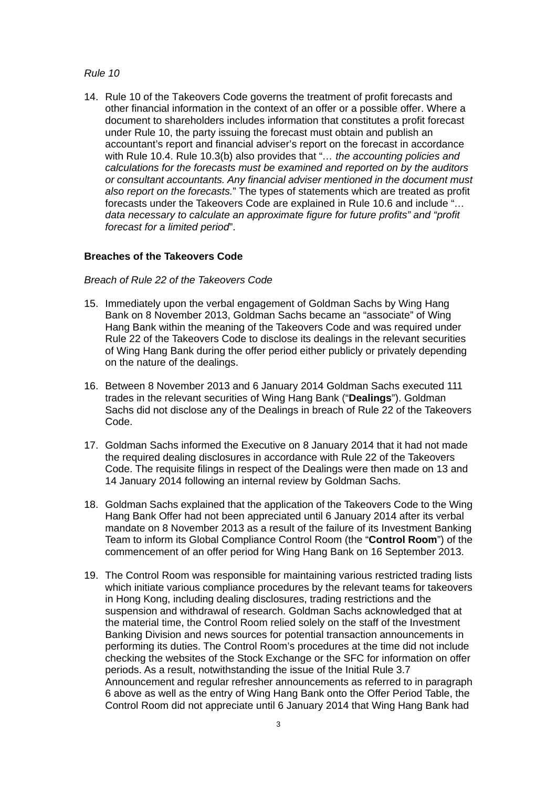### *Rule 10*

14. Rule 10 of the Takeovers Code governs the treatment of profit forecasts and other financial information in the context of an offer or a possible offer. Where a document to shareholders includes information that constitutes a profit forecast under Rule 10, the party issuing the forecast must obtain and publish an accountant's report and financial adviser's report on the forecast in accordance with Rule 10.4. Rule 10.3(b) also provides that "*… the accounting policies and calculations for the forecasts must be examined and reported on by the auditors or consultant accountants. Any financial adviser mentioned in the document must also report on the forecasts.*" The types of statements which are treated as profit forecasts under the Takeovers Code are explained in Rule 10.6 and include "*… data necessary to calculate an approximate figure for future profits" and "profit forecast for a limited period*".

#### **Breaches of the Takeovers Code**

#### *Breach of Rule 22 of the Takeovers Code*

- 15. Immediately upon the verbal engagement of Goldman Sachs by Wing Hang Bank on 8 November 2013, Goldman Sachs became an "associate" of Wing Hang Bank within the meaning of the Takeovers Code and was required under Rule 22 of the Takeovers Code to disclose its dealings in the relevant securities of Wing Hang Bank during the offer period either publicly or privately depending on the nature of the dealings.
- 16. Between 8 November 2013 and 6 January 2014 Goldman Sachs executed 111 trades in the relevant securities of Wing Hang Bank ("**Dealings**"). Goldman Sachs did not disclose any of the Dealings in breach of Rule 22 of the Takeovers Code.
- 17. Goldman Sachs informed the Executive on 8 January 2014 that it had not made the required dealing disclosures in accordance with Rule 22 of the Takeovers Code. The requisite filings in respect of the Dealings were then made on 13 and 14 January 2014 following an internal review by Goldman Sachs.
- 18. Goldman Sachs explained that the application of the Takeovers Code to the Wing Hang Bank Offer had not been appreciated until 6 January 2014 after its verbal mandate on 8 November 2013 as a result of the failure of its Investment Banking Team to inform its Global Compliance Control Room (the "**Control Room**") of the commencement of an offer period for Wing Hang Bank on 16 September 2013.
- 19. The Control Room was responsible for maintaining various restricted trading lists which initiate various compliance procedures by the relevant teams for takeovers in Hong Kong, including dealing disclosures, trading restrictions and the suspension and withdrawal of research. Goldman Sachs acknowledged that at the material time, the Control Room relied solely on the staff of the Investment Banking Division and news sources for potential transaction announcements in performing its duties. The Control Room's procedures at the time did not include checking the websites of the Stock Exchange or the SFC for information on offer periods. As a result, notwithstanding the issue of the Initial Rule 3.7 Announcement and regular refresher announcements as referred to in paragraph 6 above as well as the entry of Wing Hang Bank onto the Offer Period Table, the Control Room did not appreciate until 6 January 2014 that Wing Hang Bank had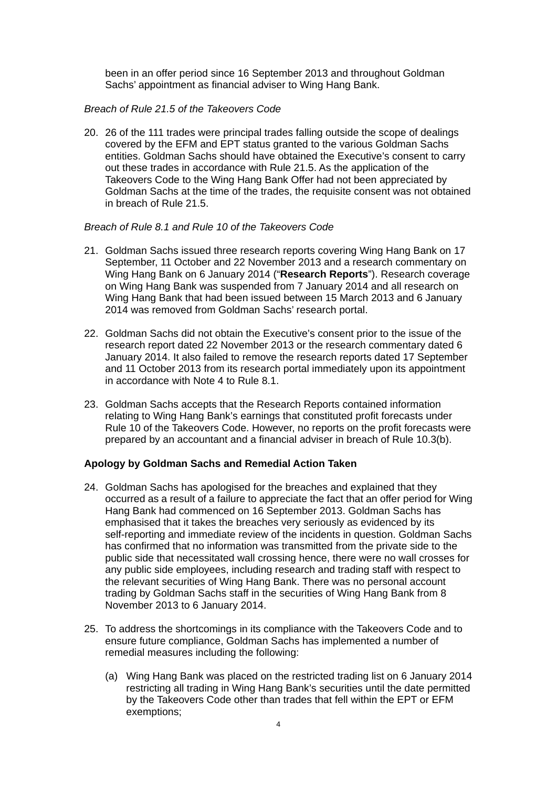been in an offer period since 16 September 2013 and throughout Goldman Sachs' appointment as financial adviser to Wing Hang Bank.

## *Breach of Rule 21.5 of the Takeovers Code*

20. 26 of the 111 trades were principal trades falling outside the scope of dealings covered by the EFM and EPT status granted to the various Goldman Sachs entities. Goldman Sachs should have obtained the Executive's consent to carry out these trades in accordance with Rule 21.5. As the application of the Takeovers Code to the Wing Hang Bank Offer had not been appreciated by Goldman Sachs at the time of the trades, the requisite consent was not obtained in breach of Rule 21.5.

### *Breach of Rule 8.1 and Rule 10 of the Takeovers Code*

- 21. Goldman Sachs issued three research reports covering Wing Hang Bank on 17 September, 11 October and 22 November 2013 and a research commentary on Wing Hang Bank on 6 January 2014 ("**Research Reports**"). Research coverage on Wing Hang Bank was suspended from 7 January 2014 and all research on Wing Hang Bank that had been issued between 15 March 2013 and 6 January 2014 was removed from Goldman Sachs' research portal.
- 22. Goldman Sachs did not obtain the Executive's consent prior to the issue of the research report dated 22 November 2013 or the research commentary dated 6 January 2014. It also failed to remove the research reports dated 17 September and 11 October 2013 from its research portal immediately upon its appointment in accordance with Note 4 to Rule 8.1.
- 23. Goldman Sachs accepts that the Research Reports contained information relating to Wing Hang Bank's earnings that constituted profit forecasts under Rule 10 of the Takeovers Code. However, no reports on the profit forecasts were prepared by an accountant and a financial adviser in breach of Rule 10.3(b).

### **Apology by Goldman Sachs and Remedial Action Taken**

- 24. Goldman Sachs has apologised for the breaches and explained that they occurred as a result of a failure to appreciate the fact that an offer period for Wing Hang Bank had commenced on 16 September 2013. Goldman Sachs has emphasised that it takes the breaches very seriously as evidenced by its self-reporting and immediate review of the incidents in question. Goldman Sachs has confirmed that no information was transmitted from the private side to the public side that necessitated wall crossing hence, there were no wall crosses for any public side employees, including research and trading staff with respect to the relevant securities of Wing Hang Bank. There was no personal account trading by Goldman Sachs staff in the securities of Wing Hang Bank from 8 November 2013 to 6 January 2014.
- 25. To address the shortcomings in its compliance with the Takeovers Code and to ensure future compliance, Goldman Sachs has implemented a number of remedial measures including the following:
	- (a) Wing Hang Bank was placed on the restricted trading list on 6 January 2014 restricting all trading in Wing Hang Bank's securities until the date permitted by the Takeovers Code other than trades that fell within the EPT or EFM exemptions;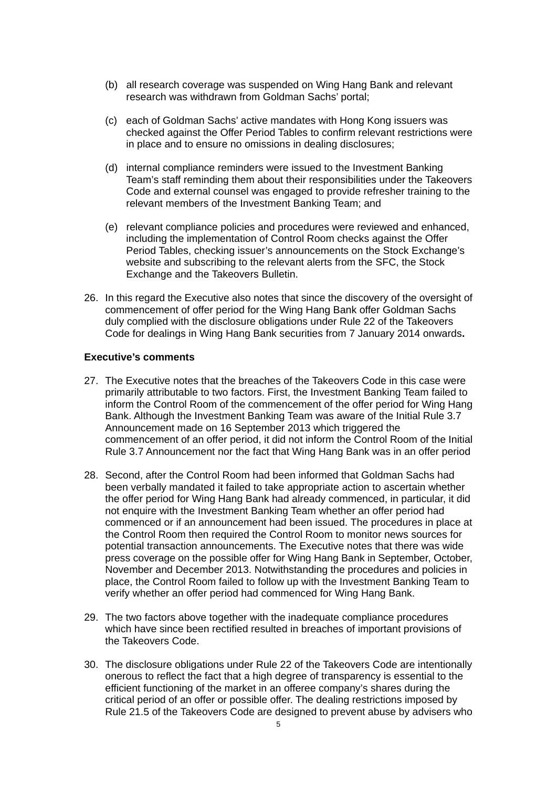- (b) all research coverage was suspended on Wing Hang Bank and relevant research was withdrawn from Goldman Sachs' portal;
- (c) each of Goldman Sachs' active mandates with Hong Kong issuers was checked against the Offer Period Tables to confirm relevant restrictions were in place and to ensure no omissions in dealing disclosures;
- (d) internal compliance reminders were issued to the Investment Banking Team's staff reminding them about their responsibilities under the Takeovers Code and external counsel was engaged to provide refresher training to the relevant members of the Investment Banking Team; and
- (e) relevant compliance policies and procedures were reviewed and enhanced, including the implementation of Control Room checks against the Offer Period Tables, checking issuer's announcements on the Stock Exchange's website and subscribing to the relevant alerts from the SFC, the Stock Exchange and the Takeovers Bulletin.
- 26. In this regard the Executive also notes that since the discovery of the oversight of commencement of offer period for the Wing Hang Bank offer Goldman Sachs duly complied with the disclosure obligations under Rule 22 of the Takeovers Code for dealings in Wing Hang Bank securities from 7 January 2014 onwards**.**

#### **Executive's comments**

- 27. The Executive notes that the breaches of the Takeovers Code in this case were primarily attributable to two factors. First, the Investment Banking Team failed to inform the Control Room of the commencement of the offer period for Wing Hang Bank. Although the Investment Banking Team was aware of the Initial Rule 3.7 Announcement made on 16 September 2013 which triggered the commencement of an offer period, it did not inform the Control Room of the Initial Rule 3.7 Announcement nor the fact that Wing Hang Bank was in an offer period
- 28. Second, after the Control Room had been informed that Goldman Sachs had been verbally mandated it failed to take appropriate action to ascertain whether the offer period for Wing Hang Bank had already commenced, in particular, it did not enquire with the Investment Banking Team whether an offer period had commenced or if an announcement had been issued. The procedures in place at the Control Room then required the Control Room to monitor news sources for potential transaction announcements. The Executive notes that there was wide press coverage on the possible offer for Wing Hang Bank in September, October, November and December 2013. Notwithstanding the procedures and policies in place, the Control Room failed to follow up with the Investment Banking Team to verify whether an offer period had commenced for Wing Hang Bank.
- 29. The two factors above together with the inadequate compliance procedures which have since been rectified resulted in breaches of important provisions of the Takeovers Code.
- 30. The disclosure obligations under Rule 22 of the Takeovers Code are intentionally onerous to reflect the fact that a high degree of transparency is essential to the efficient functioning of the market in an offeree company's shares during the critical period of an offer or possible offer. The dealing restrictions imposed by Rule 21.5 of the Takeovers Code are designed to prevent abuse by advisers who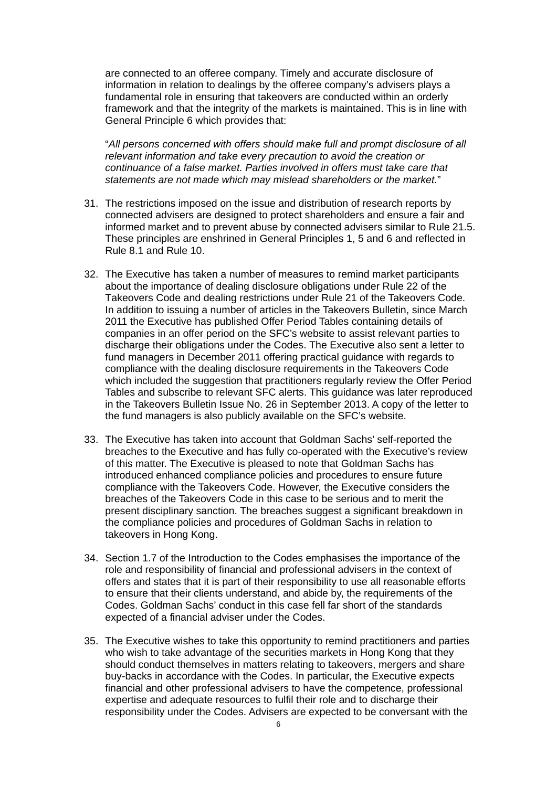are connected to an offeree company. Timely and accurate disclosure of information in relation to dealings by the offeree company's advisers plays a fundamental role in ensuring that takeovers are conducted within an orderly framework and that the integrity of the markets is maintained. This is in line with General Principle 6 which provides that:

"*All persons concerned with offers should make full and prompt disclosure of all relevant information and take every precaution to avoid the creation or continuance of a false market. Parties involved in offers must take care that statements are not made which may mislead shareholders or the market.*"

- 31. The restrictions imposed on the issue and distribution of research reports by connected advisers are designed to protect shareholders and ensure a fair and informed market and to prevent abuse by connected advisers similar to Rule 21.5. These principles are enshrined in General Principles 1, 5 and 6 and reflected in Rule 8.1 and Rule 10.
- 32. The Executive has taken a number of measures to remind market participants about the importance of dealing disclosure obligations under Rule 22 of the Takeovers Code and dealing restrictions under Rule 21 of the Takeovers Code. In addition to issuing a number of articles in the Takeovers Bulletin, since March 2011 the Executive has published Offer Period Tables containing details of companies in an offer period on the SFC's website to assist relevant parties to discharge their obligations under the Codes. The Executive also sent a letter to fund managers in December 2011 offering practical guidance with regards to compliance with the dealing disclosure requirements in the Takeovers Code which included the suggestion that practitioners regularly review the Offer Period Tables and subscribe to relevant SFC alerts. This guidance was later reproduced in the Takeovers Bulletin Issue No. 26 in September 2013. A copy of the letter to the fund managers is also publicly available on the SFC's website.
- 33. The Executive has taken into account that Goldman Sachs' self-reported the breaches to the Executive and has fully co-operated with the Executive's review of this matter. The Executive is pleased to note that Goldman Sachs has introduced enhanced compliance policies and procedures to ensure future compliance with the Takeovers Code. However, the Executive considers the breaches of the Takeovers Code in this case to be serious and to merit the present disciplinary sanction. The breaches suggest a significant breakdown in the compliance policies and procedures of Goldman Sachs in relation to takeovers in Hong Kong.
- 34. Section 1.7 of the Introduction to the Codes emphasises the importance of the role and responsibility of financial and professional advisers in the context of offers and states that it is part of their responsibility to use all reasonable efforts to ensure that their clients understand, and abide by, the requirements of the Codes. Goldman Sachs' conduct in this case fell far short of the standards expected of a financial adviser under the Codes.
- 35. The Executive wishes to take this opportunity to remind practitioners and parties who wish to take advantage of the securities markets in Hong Kong that they should conduct themselves in matters relating to takeovers, mergers and share buy-backs in accordance with the Codes. In particular, the Executive expects financial and other professional advisers to have the competence, professional expertise and adequate resources to fulfil their role and to discharge their responsibility under the Codes. Advisers are expected to be conversant with the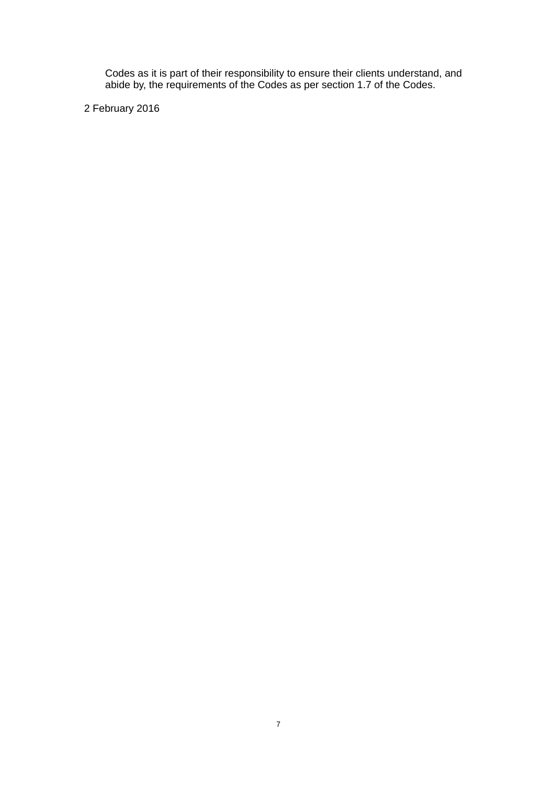Codes as it is part of their responsibility to ensure their clients understand, and abide by, the requirements of the Codes as per section 1.7 of the Codes.

2 February 2016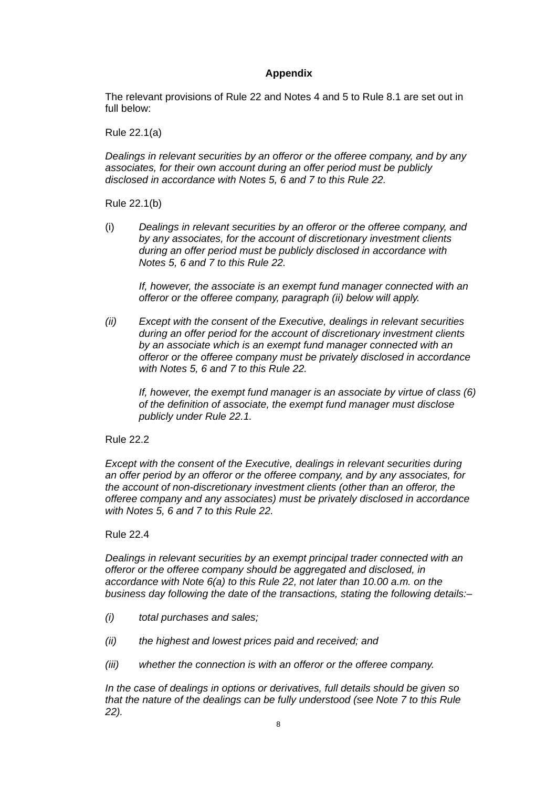# **Appendix**

The relevant provisions of Rule 22 and Notes 4 and 5 to Rule 8.1 are set out in full below:

Rule 22.1(a)

*Dealings in relevant securities by an offeror or the offeree company, and by any associates, for their own account during an offer period must be publicly disclosed in accordance with Notes 5, 6 and 7 to this Rule 22.* 

Rule 22.1(b)

(i) *Dealings in relevant securities by an offeror or the offeree company, and by any associates, for the account of discretionary investment clients during an offer period must be publicly disclosed in accordance with Notes 5, 6 and 7 to this Rule 22.*

*If, however, the associate is an exempt fund manager connected with an offeror or the offeree company, paragraph (ii) below will apply.*

*(ii) Except with the consent of the Executive, dealings in relevant securities during an offer period for the account of discretionary investment clients by an associate which is an exempt fund manager connected with an offeror or the offeree company must be privately disclosed in accordance with Notes 5, 6 and 7 to this Rule 22.* 

*If, however, the exempt fund manager is an associate by virtue of class (6) of the definition of associate, the exempt fund manager must disclose publicly under Rule 22.1.* 

Rule 22.2

*Except with the consent of the Executive, dealings in relevant securities during an offer period by an offeror or the offeree company, and by any associates, for the account of non-discretionary investment clients (other than an offeror, the offeree company and any associates) must be privately disclosed in accordance with Notes 5, 6 and 7 to this Rule 22.* 

## Rule 22.4

*Dealings in relevant securities by an exempt principal trader connected with an offeror or the offeree company should be aggregated and disclosed, in accordance with Note 6(a) to this Rule 22, not later than 10.00 a.m. on the business day following the date of the transactions, stating the following details:–* 

- *(i) total purchases and sales;*
- *(ii) the highest and lowest prices paid and received; and*
- *(iii) whether the connection is with an offeror or the offeree company.*

*In the case of dealings in options or derivatives, full details should be given so that the nature of the dealings can be fully understood (see Note 7 to this Rule 22).*